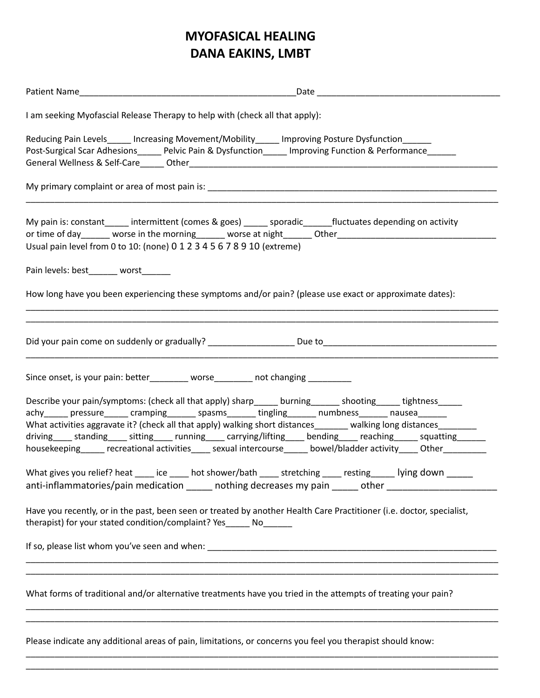## **MYOFASICAL HEALING DANA EAKINS, LMBT**

| I am seeking Myofascial Release Therapy to help with (check all that apply):                                                                                                                                                                                                                                                                                                                                                                                                                                                                                                                                                                                                                                                                                                                                          |  |
|-----------------------------------------------------------------------------------------------------------------------------------------------------------------------------------------------------------------------------------------------------------------------------------------------------------------------------------------------------------------------------------------------------------------------------------------------------------------------------------------------------------------------------------------------------------------------------------------------------------------------------------------------------------------------------------------------------------------------------------------------------------------------------------------------------------------------|--|
| Reducing Pain Levels_____ Increasing Movement/Mobility_____ Improving Posture Dysfunction______<br>Post-Surgical Scar Adhesions______ Pelvic Pain & Dysfunction_____ Improving Function & Performance______                                                                                                                                                                                                                                                                                                                                                                                                                                                                                                                                                                                                           |  |
|                                                                                                                                                                                                                                                                                                                                                                                                                                                                                                                                                                                                                                                                                                                                                                                                                       |  |
| My pain is: constant ______ intermittent (comes & goes) ______ sporadic _______fluctuates depending on activity<br>Usual pain level from 0 to 10: (none) 0 1 2 3 4 5 6 7 8 9 10 (extreme)                                                                                                                                                                                                                                                                                                                                                                                                                                                                                                                                                                                                                             |  |
| Pain levels: best_______ worst                                                                                                                                                                                                                                                                                                                                                                                                                                                                                                                                                                                                                                                                                                                                                                                        |  |
| How long have you been experiencing these symptoms and/or pain? (please use exact or approximate dates):                                                                                                                                                                                                                                                                                                                                                                                                                                                                                                                                                                                                                                                                                                              |  |
|                                                                                                                                                                                                                                                                                                                                                                                                                                                                                                                                                                                                                                                                                                                                                                                                                       |  |
| Since onset, is your pain: better________ worse_______ not changing _________                                                                                                                                                                                                                                                                                                                                                                                                                                                                                                                                                                                                                                                                                                                                         |  |
| Describe your pain/symptoms: (check all that apply) sharp_____ burning______ shooting_____ tightness_____<br>achy______ pressure______ cramping_______ spasms_______ tingling_______ numbness_______ nausea_______<br>What activities aggravate it? (check all that apply) walking short distances______ walking long distances______<br>driving______ standing_______ sitting_______ running______ carrying/lifting______ bending_______ reaching________ squatting________<br>housekeeping_____ recreational activities____ sexual intercourse_____ bowel/bladder activity____ Other________<br>What gives you relief? heat _____ ice _____ hot shower/bath _____ stretching _____ resting _____ lying down<br>anti-inflammatories/pain medication _____ nothing decreases my pain _____ other ____________________ |  |
| Have you recently, or in the past, been seen or treated by another Health Care Practitioner (i.e. doctor, specialist,<br>therapist) for your stated condition/complaint? Yes ______ No______                                                                                                                                                                                                                                                                                                                                                                                                                                                                                                                                                                                                                          |  |
|                                                                                                                                                                                                                                                                                                                                                                                                                                                                                                                                                                                                                                                                                                                                                                                                                       |  |
| What forms of traditional and/or alternative treatments have you tried in the attempts of treating your pain?                                                                                                                                                                                                                                                                                                                                                                                                                                                                                                                                                                                                                                                                                                         |  |
|                                                                                                                                                                                                                                                                                                                                                                                                                                                                                                                                                                                                                                                                                                                                                                                                                       |  |

Please indicate any additional areas of pain, limitations, or concerns you feel you therapist should know:

\_\_\_\_\_\_\_\_\_\_\_\_\_\_\_\_\_\_\_\_\_\_\_\_\_\_\_\_\_\_\_\_\_\_\_\_\_\_\_\_\_\_\_\_\_\_\_\_\_\_\_\_\_\_\_\_\_\_\_\_\_\_\_\_\_\_\_\_\_\_\_\_\_\_\_\_\_\_\_\_\_\_\_\_\_\_\_\_\_\_\_\_\_\_\_\_\_\_ \_\_\_\_\_\_\_\_\_\_\_\_\_\_\_\_\_\_\_\_\_\_\_\_\_\_\_\_\_\_\_\_\_\_\_\_\_\_\_\_\_\_\_\_\_\_\_\_\_\_\_\_\_\_\_\_\_\_\_\_\_\_\_\_\_\_\_\_\_\_\_\_\_\_\_\_\_\_\_\_\_\_\_\_\_\_\_\_\_\_\_\_\_\_\_\_\_\_